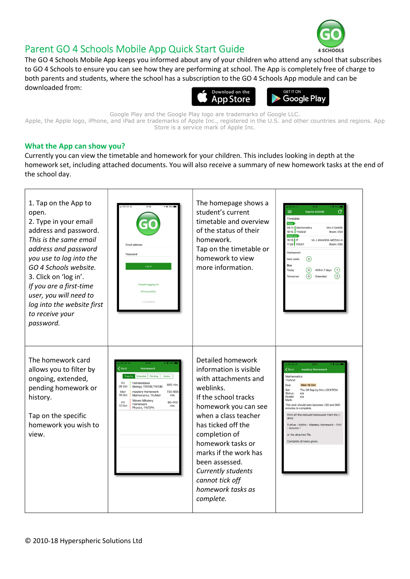

## Parent GO 4 Schools Mobile App Quick Start Guide

The GO 4 Schools Mobile App keeps you informed about any of your children who attend any school that subscribes to GO 4 Schools to ensure you can see how they are performing at school. The App is completely free of charge to both parents and students, where the school has a subscription to the GO 4 Schools App module and can be downloaded from:





Google Play and the Google Play logo are trademarks of Google LLC. Apple, the Apple logo, iPhone, and iPad are trademarks of Apple Inc., registered in the U.S. and other countries and regions. App Store is a service mark of Apple Inc.

## What the App can show you?

Currently you can view the timetable and homework for your children. This includes looking in depth at the homework set, including attached documents. You will also receive a summary of new homework tasks at the end of the school day.